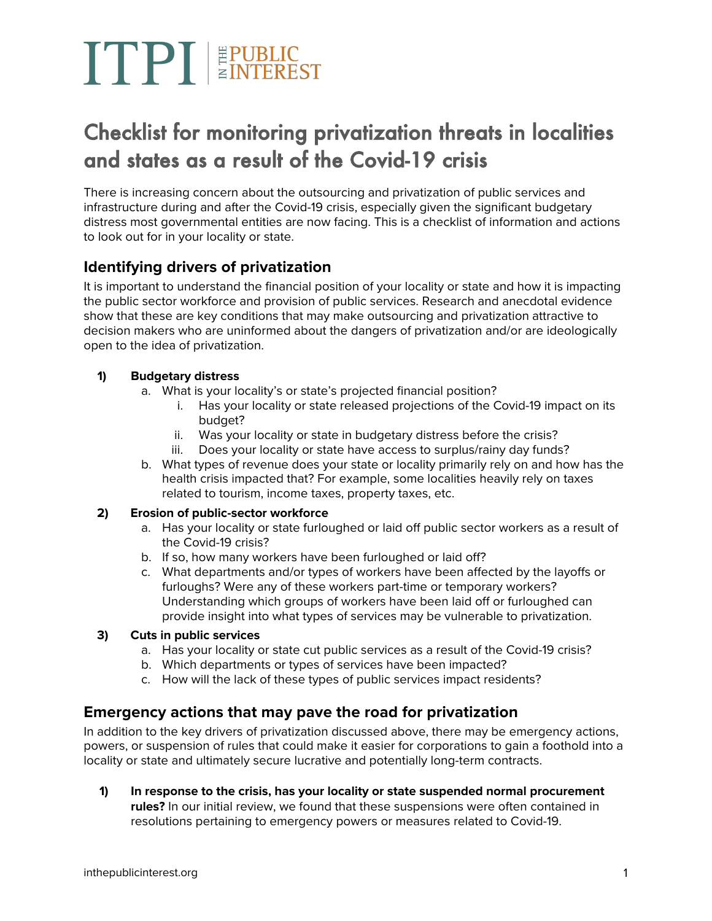## TPT EPUBLIC

### Checklist for monitoring privatization threats in localities and states as a result of the Covid-19 crisis

There is increasing concern about the outsourcing and privatization of public services and infrastructure during and after the Covid-19 crisis, especially given the significant budgetary distress most governmental entities are now facing. This is a checklist of information and actions to look out for in your locality or state.

#### **Identifying drivers of privatization**

It is important to understand the financial position of your locality or state and how it is impacting the public sector workforce and provision of public services. Research and anecdotal evidence show that these are key conditions that may make outsourcing and privatization attractive to decision makers who are uninformed about the dangers of privatization and/or are ideologically open to the idea of privatization.

#### **1) Budgetary distress**

- a. What is your locality's or state's projected financial position?
	- i. Has your locality or state released projections of the Covid-19 impact on its budget?
	- ii. Was your locality or state in budgetary distress before the crisis?
	- iii. Does your locality or state have access to surplus/rainy day funds?
- b. What types of revenue does your state or locality primarily rely on and how has the health crisis impacted that? For example, some localities heavily rely on taxes related to tourism, income taxes, property taxes, etc.

#### **2) Erosion of public-sector workforce**

- a. Has your locality or state furloughed or laid off public sector workers as a result of the Covid-19 crisis?
- b. If so, how many workers have been furloughed or laid off?
- c. What departments and/or types of workers have been affected by the layoffs or furloughs? Were any of these workers part-time or temporary workers? Understanding which groups of workers have been laid off or furloughed can provide insight into what types of services may be vulnerable to privatization.

#### **3) Cuts in public services**

- a. Has your locality or state cut public services as a result of the Covid-19 crisis?
- b. Which departments or types of services have been impacted?
- c. How will the lack of these types of public services impact residents?

#### **Emergency actions that may pave the road for privatization**

In addition to the key drivers of privatization discussed above, there may be emergency actions, powers, or suspension of rules that could make it easier for corporations to gain a foothold into a locality or state and ultimately secure lucrative and potentially long-term contracts.

**1) In response to the crisis, has your locality or state suspended normal procurement rules?** In our initial review, we found that these suspensions were often contained in resolutions pertaining to emergency powers or measures related to Covid-19.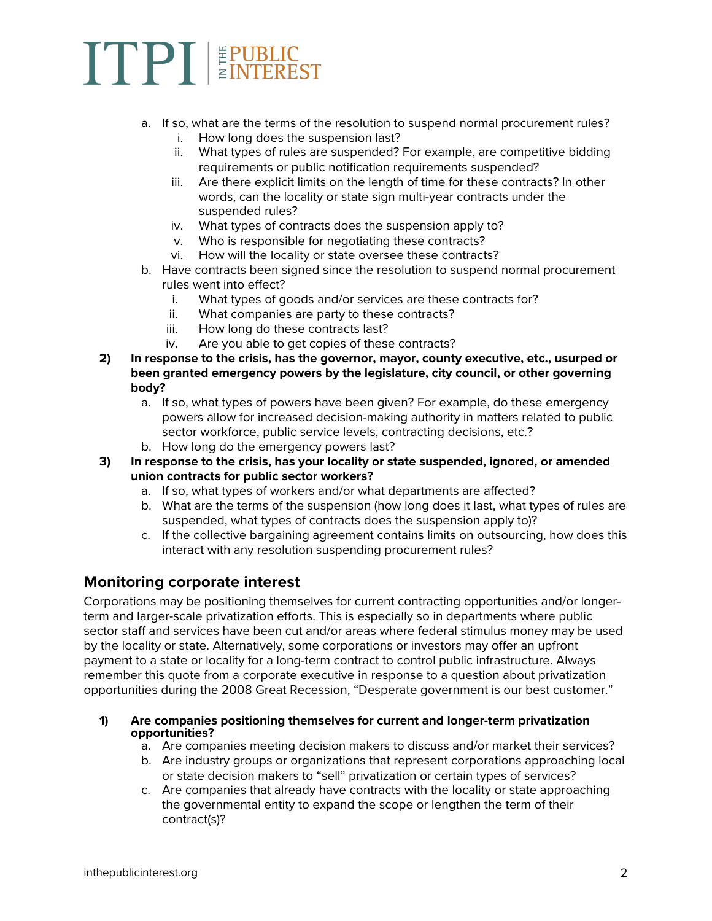### TPT EPUBLIC

- a. If so, what are the terms of the resolution to suspend normal procurement rules?
	- i. How long does the suspension last?
	- ii. What types of rules are suspended? For example, are competitive bidding requirements or public notification requirements suspended?
	- iii. Are there explicit limits on the length of time for these contracts? In other words, can the locality or state sign multi-year contracts under the suspended rules?
	- iv. What types of contracts does the suspension apply to?
	- v. Who is responsible for negotiating these contracts?
	- vi. How will the locality or state oversee these contracts?
- b. Have contracts been signed since the resolution to suspend normal procurement rules went into effect?
	- i. What types of goods and/or services are these contracts for?
	- ii. What companies are party to these contracts?
	- iii. How long do these contracts last?
	- iv. Are you able to get copies of these contracts?
- **2) In response to the crisis, has the governor, mayor, county executive, etc., usurped or been granted emergency powers by the legislature, city council, or other governing body?**
	- a. If so, what types of powers have been given? For example, do these emergency powers allow for increased decision-making authority in matters related to public sector workforce, public service levels, contracting decisions, etc.?
	- b. How long do the emergency powers last?
- **3) In response to the crisis, has your locality or state suspended, ignored, or amended union contracts for public sector workers?**
	- a. If so, what types of workers and/or what departments are affected?
	- b. What are the terms of the suspension (how long does it last, what types of rules are suspended, what types of contracts does the suspension apply to)?
	- c. If the collective bargaining agreement contains limits on outsourcing, how does this interact with any resolution suspending procurement rules?

#### **Monitoring corporate interest**

Corporations may be positioning themselves for current contracting opportunities and/or longerterm and larger-scale privatization efforts. This is especially so in departments where public sector staff and services have been cut and/or areas where federal stimulus money may be used by the locality or state. Alternatively, some corporations or investors may offer an upfront payment to a state or locality for a long-term contract to control public infrastructure. Always remember this quote from a corporate executive in response to a question about privatization opportunities during the 2008 Great Recession, "Desperate government is our best customer."

- **1) Are companies positioning themselves for current and longer-term privatization opportunities?**
	- a. Are companies meeting decision makers to discuss and/or market their services?
	- b. Are industry groups or organizations that represent corporations approaching local or state decision makers to "sell" privatization or certain types of services?
	- c. Are companies that already have contracts with the locality or state approaching the governmental entity to expand the scope or lengthen the term of their contract(s)?